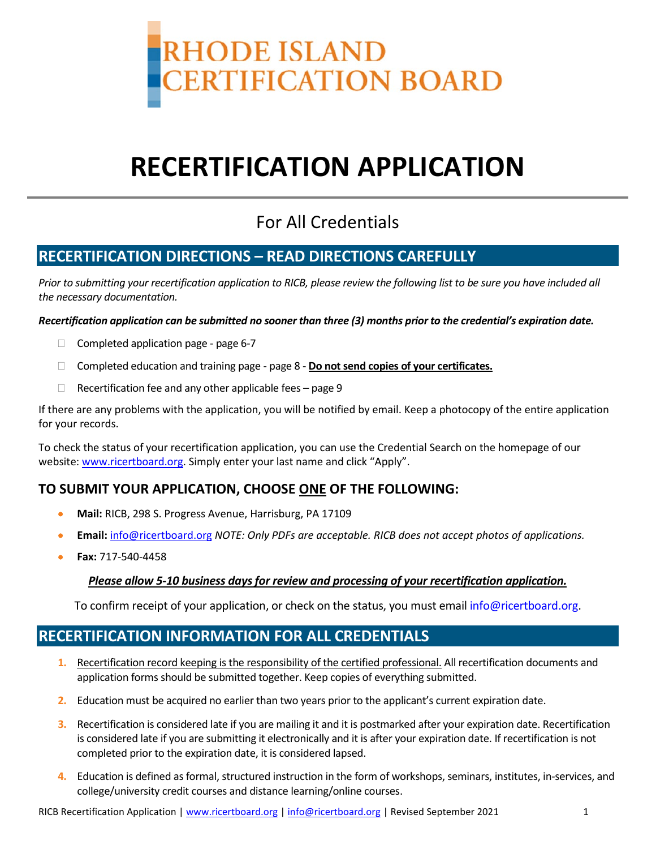

# **RECERTIFICATION APPLICATION**

## For All Credentials

## **RECERTIFICATION DIRECTIONS – READ DIRECTIONS CAREFULLY**

*Prior to submitting your recertification application to RICB, please review the following list to be sure you have included all the necessary documentation.* 

*Recertification application can be submitted no sooner than three (3) months prior to the credential's expiration date.*

- □ Completed application page page 6-7
- Completed education and training page page 8 **Do not send copies of your certificates.**
- $\Box$  Recertification fee and any other applicable fees page 9

If there are any problems with the application, you will be notified by email. Keep a photocopy of the entire application for your records.

To check the status of your recertification application, you can use the Credential Search on the homepage of our website[: www.ricertboard.org.](http://www.pacertboard.org/) Simply enter your last name and click "Apply".

## **TO SUBMIT YOUR APPLICATION, CHOOSE ONE OF THE FOLLOWING:**

- **Mail:** RICB, 298 S. Progress Avenue, Harrisburg, PA 17109
- **Email:** [info@ricertboard.org](mailto:info@pacertboard.org) *NOTE: Only PDFs are acceptable. RICB does not accept photos of applications.*
- **Fax:** 717-540-4458

#### *Please allow 5-10 business days for review and processing of your recertification application.*

To confirm receipt of your application, or check on the status, you must emai[l info@ricertboard.org.](mailto:info@pacertboard.org)

## **RECERTIFICATION INFORMATION FOR ALL CREDENTIALS**

- **1.** Recertification record keeping is the responsibility of the certified professional. All recertification documents and application forms should be submitted together. Keep copies of everything submitted.
- **2.** Education must be acquired no earlier than two years prior to the applicant's current expiration date.
- **3.** Recertification is considered late if you are mailing it and it is postmarked after your expiration date. Recertification is considered late if you are submitting it electronically and it is after your expiration date. If recertification is not completed prior to the expiration date, it is considered lapsed.
- **4.** Education is defined as formal, structured instruction in the form of workshops, seminars, institutes, in-services, and college/university credit courses and distance learning/online courses.

RICB Recertification Application | [www.ricertboard.org](http://www.ricertboard.org/) [| info@ricertboard.org](mailto:info@ricertboard.org) | Revised September 2021 1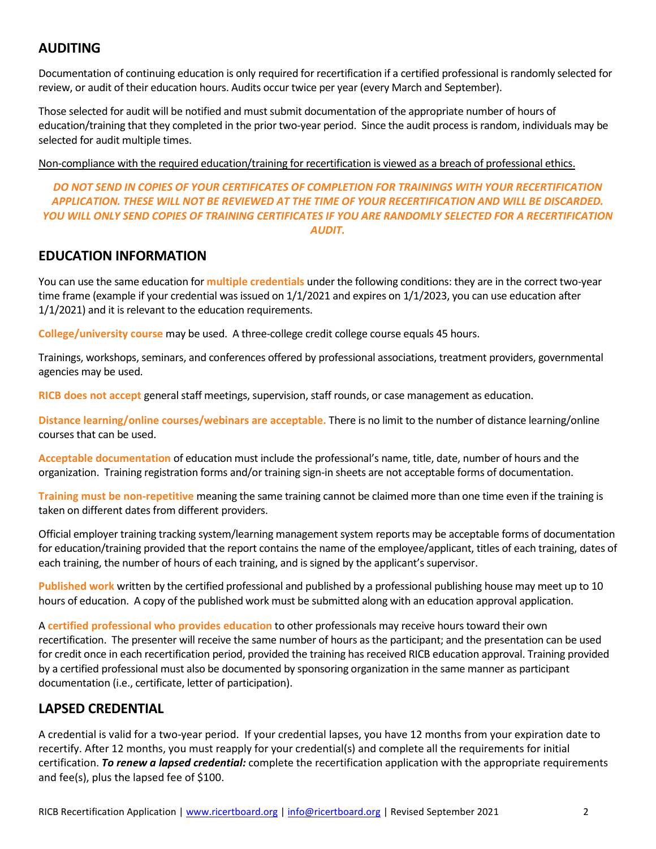## **AUDITING**

Documentation of continuing education is only required for recertification if a certified professional is randomly selected for review, or audit of their education hours. Audits occur twice per year (every March and September).

Those selected for audit will be notified and must submit documentation of the appropriate number of hours of education/training that they completed in the prior two-year period. Since the audit process is random, individuals may be selected for audit multiple times.

Non-compliance with the required education/training for recertification is viewed as a breach of professional ethics.

#### *DO NOT SEND IN COPIES OF YOUR CERTIFICATES OF COMPLETION FOR TRAININGS WITH YOUR RECERTIFICATION APPLICATION. THESE WILL NOT BE REVIEWED AT THE TIME OF YOUR RECERTIFICATION AND WILL BE DISCARDED. YOU WILL ONLY SEND COPIES OF TRAINING CERTIFICATES IF YOU ARE RANDOMLY SELECTED FOR A RECERTIFICATION AUDIT.*

### **EDUCATION INFORMATION**

You can use the same education for **multiple credentials** under the following conditions: they are in the correct two-year time frame (example if your credential was issued on 1/1/2021 and expires on 1/1/2023, you can use education after 1/1/2021) and it is relevant to the education requirements.

**College/university course** may be used. A three-college credit college course equals 45 hours.

Trainings, workshops, seminars, and conferences offered by professional associations, treatment providers, governmental agencies may be used.

**RICB does not accept** general staff meetings, supervision, staff rounds, or case management as education.

**Distance learning/online courses/webinars are acceptable.** There is no limit to the number of distance learning/online courses that can be used.

**Acceptable documentation** of education must include the professional's name, title, date, number of hours and the organization. Training registration forms and/or training sign-in sheets are not acceptable forms of documentation.

**Training must be non-repetitive** meaning the same training cannot be claimed more than one time even if the training is taken on different dates from different providers.

Official employer training tracking system/learning management system reports may be acceptable forms of documentation for education/training provided that the report contains the name of the employee/applicant, titles of each training, dates of each training, the number of hours of each training, and is signed by the applicant's supervisor.

**Published work** written by the certified professional and published by a professional publishing house may meet up to 10 hours of education. A copy of the published work must be submitted along with an education approval application.

A **certified professional who provides education** to other professionals may receive hours toward their own recertification. The presenter will receive the same number of hours as the participant; and the presentation can be used for credit once in each recertification period, provided the training has received RICB education approval. Training provided by a certified professional must also be documented by sponsoring organization in the same manner as participant documentation (i.e., certificate, letter of participation).

## **LAPSED CREDENTIAL**

A credential is valid for a two-year period. If your credential lapses, you have 12 months from your expiration date to recertify. After 12 months, you must reapply for your credential(s) and complete all the requirements for initial certification. *To renew a lapsed credential:* complete the recertification application with the appropriate requirements and fee(s), plus the lapsed fee of \$100.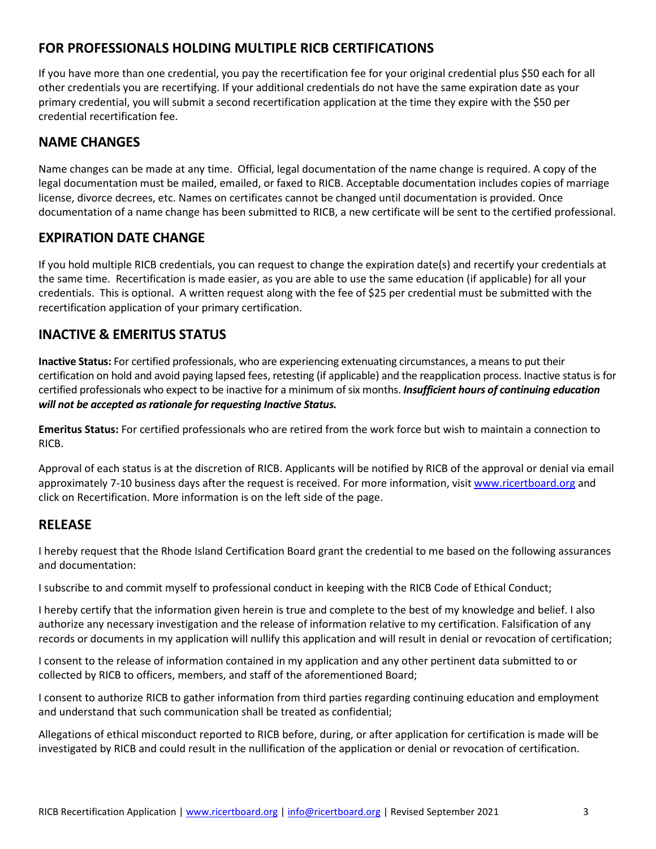## **FOR PROFESSIONALS HOLDING MULTIPLE RICB CERTIFICATIONS**

If you have more than one credential, you pay the recertification fee for your original credential plus \$50 each for all other credentials you are recertifying. If your additional credentials do not have the same expiration date as your primary credential, you will submit a second recertification application at the time they expire with the \$50 per credential recertification fee.

## **NAME CHANGES**

Name changes can be made at any time. Official, legal documentation of the name change is required. A copy of the legal documentation must be mailed, emailed, or faxed to RICB. Acceptable documentation includes copies of marriage license, divorce decrees, etc. Names on certificates cannot be changed until documentation is provided. Once documentation of a name change has been submitted to RICB, a new certificate will be sent to the certified professional.

## **EXPIRATION DATE CHANGE**

If you hold multiple RICB credentials, you can request to change the expiration date(s) and recertify your credentials at the same time. Recertification is made easier, as you are able to use the same education (if applicable) for all your credentials. This is optional. A written request along with the fee of \$25 per credential must be submitted with the recertification application of your primary certification.

## **INACTIVE & EMERITUS STATUS**

**Inactive Status:** For certified professionals, who are experiencing extenuating circumstances, a means to put their certification on hold and avoid paying lapsed fees, retesting (if applicable) and the reapplication process. Inactive status is for certified professionals who expect to be inactive for a minimum of six months. *Insufficient hours of continuing education will not be accepted as rationale for requesting Inactive Status.* 

**Emeritus Status:** For certified professionals who are retired from the work force but wish to maintain a connection to RICB.

Approval of each status is at the discretion of RICB. Applicants will be notified by RICB of the approval or denial via email approximately 7-10 business days after the request is received. For more information, visi[t www.ricertboard.org](http://www.pacertboard.org/) and click on Recertification. More information is on the left side of the page.

## **RELEASE**

I hereby request that the Rhode Island Certification Board grant the credential to me based on the following assurances and documentation:

I subscribe to and commit myself to professional conduct in keeping with the RICB Code of Ethical Conduct;

I hereby certify that the information given herein is true and complete to the best of my knowledge and belief. I also authorize any necessary investigation and the release of information relative to my certification. Falsification of any records or documents in my application will nullify this application and will result in denial or revocation of certification;

I consent to the release of information contained in my application and any other pertinent data submitted to or collected by RICB to officers, members, and staff of the aforementioned Board;

I consent to authorize RICB to gather information from third parties regarding continuing education and employment and understand that such communication shall be treated as confidential;

Allegations of ethical misconduct reported to RICB before, during, or after application for certification is made will be investigated by RICB and could result in the nullification of the application or denial or revocation of certification.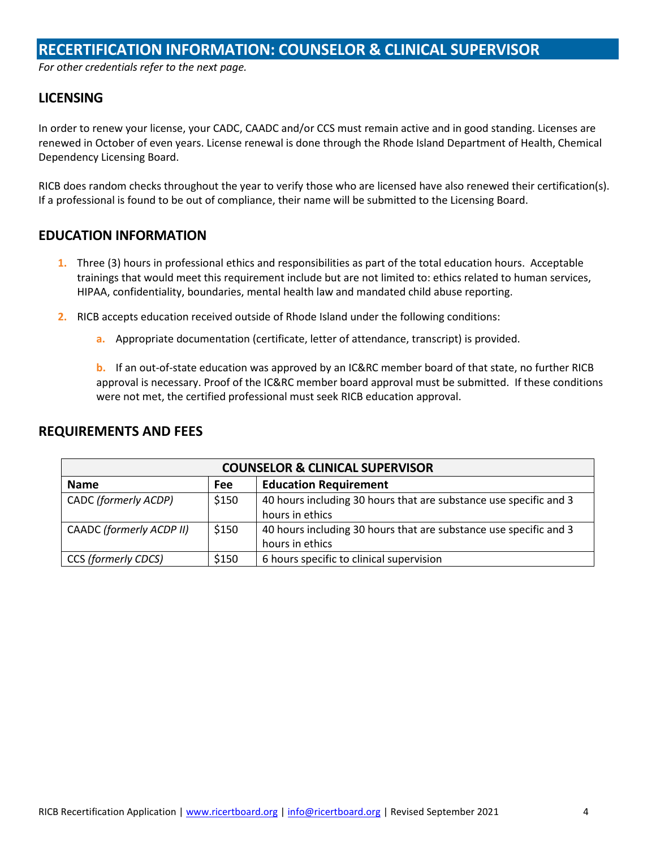## **RECERTIFICATION INFORMATION: COUNSELOR & CLINICAL SUPERVISOR**

*For other credentials refer to the next page.* 

#### **LICENSING**

In order to renew your license, your CADC, CAADC and/or CCS must remain active and in good standing. Licenses are renewed in October of even years. License renewal is done through the Rhode Island Department of Health, Chemical Dependency Licensing Board.

RICB does random checks throughout the year to verify those who are licensed have also renewed their certification(s). If a professional is found to be out of compliance, their name will be submitted to the Licensing Board.

#### **EDUCATION INFORMATION**

- **1.** Three (3) hours in professional ethics and responsibilities as part of the total education hours. Acceptable trainings that would meet this requirement include but are not limited to: ethics related to human services, HIPAA, confidentiality, boundaries, mental health law and mandated child abuse reporting.
- **2.** RICB accepts education received outside of Rhode Island under the following conditions:
	- **a.** Appropriate documentation (certificate, letter of attendance, transcript) is provided.

**b.** If an out-of-state education was approved by an IC&RC member board of that state, no further RICB approval is necessary. Proof of the IC&RC member board approval must be submitted. If these conditions were not met, the certified professional must seek RICB education approval.

|                          |            | <b>COUNSELOR &amp; CLINICAL SUPERVISOR</b>                                           |
|--------------------------|------------|--------------------------------------------------------------------------------------|
| <b>Name</b>              | <b>Fee</b> | <b>Education Requirement</b>                                                         |
| CADC (formerly ACDP)     | \$150      | 40 hours including 30 hours that are substance use specific and 3<br>hours in ethics |
| CAADC (formerly ACDP II) | \$150      | 40 hours including 30 hours that are substance use specific and 3<br>hours in ethics |
| CCS (formerly CDCS)      | \$150      | 6 hours specific to clinical supervision                                             |

#### **REQUIREMENTS AND FEES**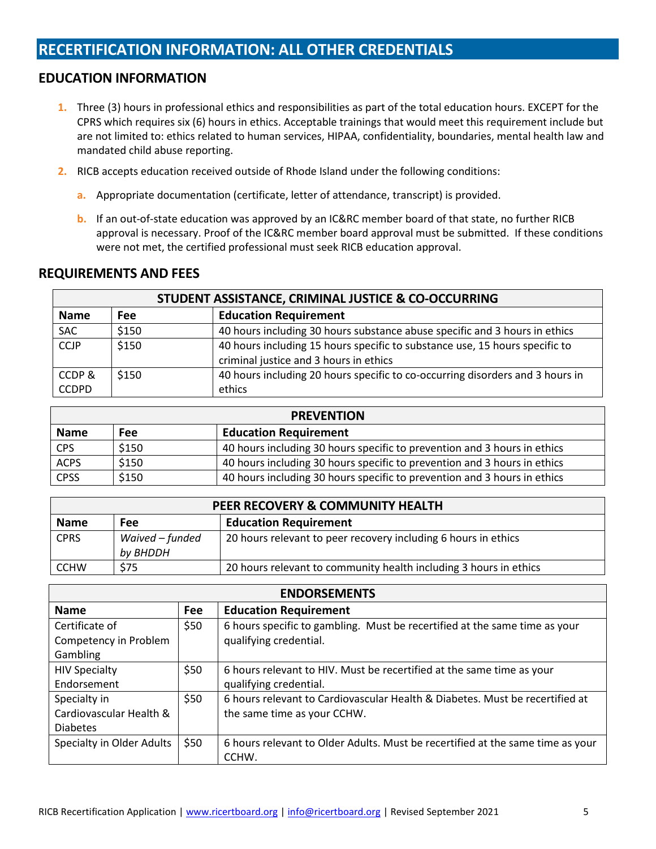## **RECERTIFICATION INFORMATION: ALL OTHER CREDENTIALS**

### **EDUCATION INFORMATION**

- **1.** Three (3) hours in professional ethics and responsibilities as part of the total education hours. EXCEPT for the CPRS which requires six (6) hours in ethics. Acceptable trainings that would meet this requirement include but are not limited to: ethics related to human services, HIPAA, confidentiality, boundaries, mental health law and mandated child abuse reporting.
- **2.** RICB accepts education received outside of Rhode Island under the following conditions:
	- **a.** Appropriate documentation (certificate, letter of attendance, transcript) is provided.
	- **b.** If an out-of-state education was approved by an IC&RC member board of that state, no further RICB approval is necessary. Proof of the IC&RC member board approval must be submitted. If these conditions were not met, the certified professional must seek RICB education approval.

#### **REQUIREMENTS AND FEES**

|              |       | STUDENT ASSISTANCE, CRIMINAL JUSTICE & CO-OCCURRING                           |
|--------------|-------|-------------------------------------------------------------------------------|
| <b>Name</b>  | Fee   | <b>Education Requirement</b>                                                  |
| <b>SAC</b>   | \$150 | 40 hours including 30 hours substance abuse specific and 3 hours in ethics    |
| <b>CCJP</b>  | \$150 | 40 hours including 15 hours specific to substance use, 15 hours specific to   |
|              |       | criminal justice and 3 hours in ethics                                        |
| CCDP&        | \$150 | 40 hours including 20 hours specific to co-occurring disorders and 3 hours in |
| <b>CCDPD</b> |       | ethics                                                                        |

|             |       | <b>PREVENTION</b>                                                        |  |
|-------------|-------|--------------------------------------------------------------------------|--|
| <b>Name</b> | Fee   | <b>Education Requirement</b>                                             |  |
| <b>CPS</b>  | \$150 | 40 hours including 30 hours specific to prevention and 3 hours in ethics |  |
| <b>ACPS</b> | \$150 | 40 hours including 30 hours specific to prevention and 3 hours in ethics |  |
| <b>CPSS</b> | \$150 | 40 hours including 30 hours specific to prevention and 3 hours in ethics |  |

|             |                             | PEER RECOVERY & COMMUNITY HEALTH                                  |
|-------------|-----------------------------|-------------------------------------------------------------------|
| <b>Name</b> | Fee                         | <b>Education Requirement</b>                                      |
| <b>CPRS</b> | Waived - funded<br>by BHDDH | 20 hours relevant to peer recovery including 6 hours in ethics    |
| <b>CCHW</b> | \$75                        | 20 hours relevant to community health including 3 hours in ethics |

|                           |      | <b>ENDORSEMENTS</b>                                                            |
|---------------------------|------|--------------------------------------------------------------------------------|
| <b>Name</b>               | Fee  | <b>Education Requirement</b>                                                   |
| Certificate of            | \$50 | 6 hours specific to gambling. Must be recertified at the same time as your     |
| Competency in Problem     |      | qualifying credential.                                                         |
| Gambling                  |      |                                                                                |
| <b>HIV Specialty</b>      | \$50 | 6 hours relevant to HIV. Must be recertified at the same time as your          |
| Endorsement               |      | qualifying credential.                                                         |
| Specialty in              | \$50 | 6 hours relevant to Cardiovascular Health & Diabetes. Must be recertified at   |
| Cardiovascular Health &   |      | the same time as your CCHW.                                                    |
| <b>Diabetes</b>           |      |                                                                                |
| Specialty in Older Adults | \$50 | 6 hours relevant to Older Adults. Must be recertified at the same time as your |
|                           |      | CCHW.                                                                          |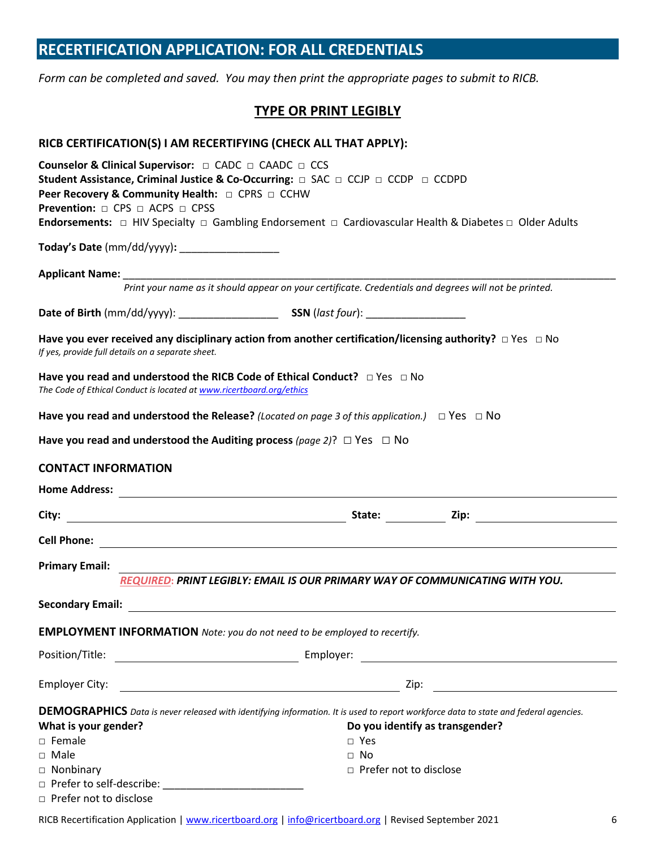## **RECERTIFICATION APPLICATION: FOR ALL CREDENTIALS**

*Form can be completed and saved. You may then print the appropriate pages to submit to RICB.* 

#### **TYPE OR PRINT LEGIBLY**

| RICB CERTIFICATION(S) I AM RECERTIFYING (CHECK ALL THAT APPLY):                                                                                                                                                                        |                                                                                                                                                                                                                                            |
|----------------------------------------------------------------------------------------------------------------------------------------------------------------------------------------------------------------------------------------|--------------------------------------------------------------------------------------------------------------------------------------------------------------------------------------------------------------------------------------------|
| Counselor & Clinical Supervisor: □ CADC □ CAADC □ CCS<br>Student Assistance, Criminal Justice & Co-Occurring: □ SAC □ CCJP □ CCDP □ CCDPD<br>Peer Recovery & Community Health: □ CPRS □ CCHW<br><b>Prevention:</b> □ CPS □ ACPS □ CPSS | <b>Endorsements:</b> $\Box$ HIV Specialty $\Box$ Gambling Endorsement $\Box$ Cardiovascular Health & Diabetes $\Box$ Older Adults                                                                                                          |
| Today's Date (mm/dd/yyyy): ____________________                                                                                                                                                                                        |                                                                                                                                                                                                                                            |
|                                                                                                                                                                                                                                        |                                                                                                                                                                                                                                            |
|                                                                                                                                                                                                                                        | Print your name as it should appear on your certificate. Credentials and degrees will not be printed.                                                                                                                                      |
|                                                                                                                                                                                                                                        |                                                                                                                                                                                                                                            |
| If yes, provide full details on a separate sheet.                                                                                                                                                                                      | Have you ever received any disciplinary action from another certification/licensing authority? $\Box$ Yes $\Box$ No                                                                                                                        |
| Have you read and understood the RICB Code of Ethical Conduct? $\Box$ Yes $\Box$ No<br>The Code of Ethical Conduct is located at www.ricertboard.org/ethics                                                                            |                                                                                                                                                                                                                                            |
| Have you read and understood the Release? (Located on page 3 of this application.) $\Box$ Yes $\Box$ No                                                                                                                                |                                                                                                                                                                                                                                            |
| Have you read and understood the Auditing process (page 2)? $\Box$ Yes $\Box$ No                                                                                                                                                       |                                                                                                                                                                                                                                            |
| <b>CONTACT INFORMATION</b>                                                                                                                                                                                                             |                                                                                                                                                                                                                                            |
|                                                                                                                                                                                                                                        |                                                                                                                                                                                                                                            |
|                                                                                                                                                                                                                                        |                                                                                                                                                                                                                                            |
|                                                                                                                                                                                                                                        |                                                                                                                                                                                                                                            |
| <b>Primary Email:</b>                                                                                                                                                                                                                  | REQUIRED: PRINT LEGIBLY: EMAIL IS OUR PRIMARY WAY OF COMMUNICATING WITH YOU.                                                                                                                                                               |
| Secondary Email: <u>_________________________________</u>                                                                                                                                                                              |                                                                                                                                                                                                                                            |
| <b>EMPLOYMENT INFORMATION</b> Note: you do not need to be employed to recertify.                                                                                                                                                       |                                                                                                                                                                                                                                            |
| Position/Title:                                                                                                                                                                                                                        |                                                                                                                                                                                                                                            |
| <b>Employer City:</b>                                                                                                                                                                                                                  |                                                                                                                                                                                                                                            |
| What is your gender?<br>$\square$ Female<br>$\Box$ Male<br>□ Nonbinary                                                                                                                                                                 | <b>DEMOGRAPHICS</b> Data is never released with identifying information. It is used to report workforce data to state and federal agencies.<br>Do you identify as transgender?<br>$\Box$ Yes<br>$\Box$ No<br>$\Box$ Prefer not to disclose |
| $\Box$ Prefer not to disclose                                                                                                                                                                                                          |                                                                                                                                                                                                                                            |

RICB Recertification Application | [www.ricertboard.org](http://www.ricertboard.org/) [| info@ricertboard.org](mailto:info@ricertboard.org) | Revised September 2021 6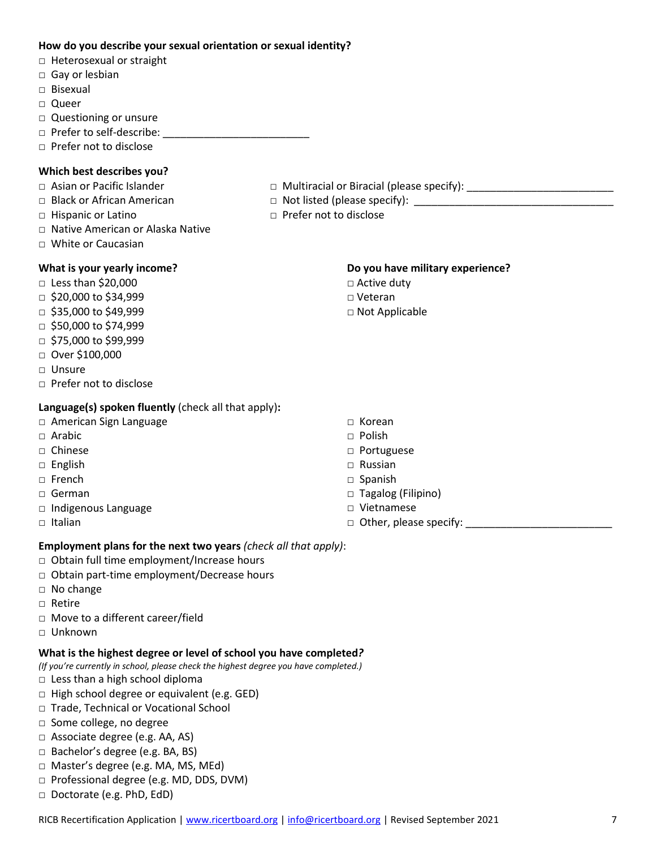#### **How do you describe your sexual orientation or sexual identity?**

- □ Heterosexual or straight
- □ Gay or lesbian
- □ Bisexual
- □ Queer
- □ Questioning or unsure
- □ Prefer to self-describe: \_\_\_\_\_\_\_\_\_\_\_\_\_\_\_\_\_\_\_\_\_\_\_\_\_
- □ Prefer not to disclose

## **Which best describes you?**

- □ Asian or Pacific Islander □ Multiracial or Biracial (please specify): \_\_\_\_\_\_\_\_\_\_\_\_\_\_\_\_\_\_\_\_\_\_\_\_\_
- □ Black or African American □ Not listed (please specify): \_\_\_\_\_\_\_\_\_\_\_\_\_\_\_\_\_\_\_\_\_\_\_\_\_\_\_\_\_\_\_\_\_\_
- □ Hispanic or Latino □ □ □ Prefer not to disclose
- □ Native American or Alaska Native
- □ White or Caucasian

## **What is your yearly income?**

- □ Less than \$20,000
- $\Box$  \$20,000 to \$34,999
- $\Box$  \$35,000 to \$49,999
- □ \$50,000 to \$74,999
- □ \$75,000 to \$99,999
- □ Over \$100,000
- □ Unsure
- □ Prefer not to disclose

#### **Language(s) spoken fluently** (check all that apply)**:**

- □ American Sign Language
- □ Arabic
- □ Chinese
- □ English
- □ French
- □ German
- □ Indigenous Language
- $\Box$  Italian

□ Active duty □ Veteran

□ Not Applicable

- □ Korean □ Polish
- 
- □ Portuguese
- □ Russian
- □ Spanish
- □ Tagalog (Filipino)
- □ Vietnamese
- $\Box$  Other, please specify:

**Do you have military experience?** 

#### **Employment plans for the next two years** *(check all that apply)*:

- □ Obtain full time employment/Increase hours
- □ Obtain part-time employment/Decrease hours
- □ No change
- □ Retire
- □ Move to a different career/field
- □ Unknown

## **What is the highest degree or level of school you have completed***?*

- *(If you're currently in school, please check the highest degree you have completed.)*
- □ Less than a high school diploma
- □ High school degree or equivalent (e.g. GED)
- □ Trade, Technical or Vocational School
- □ Some college, no degree
- □ Associate degree (e.g. AA, AS)
- □ Bachelor's degree (e.g. BA, BS)
- □ Master's degree (e.g. MA, MS, MEd)
- □ Professional degree (e.g. MD, DDS, DVM)
- □ Doctorate (e.g. PhD, EdD)
- RICB Recertification Application | [www.ricertboard.org](http://www.ricertboard.org/) | [info@ricertboard.org](mailto:info@ricertboard.org) | Revised September 2021 7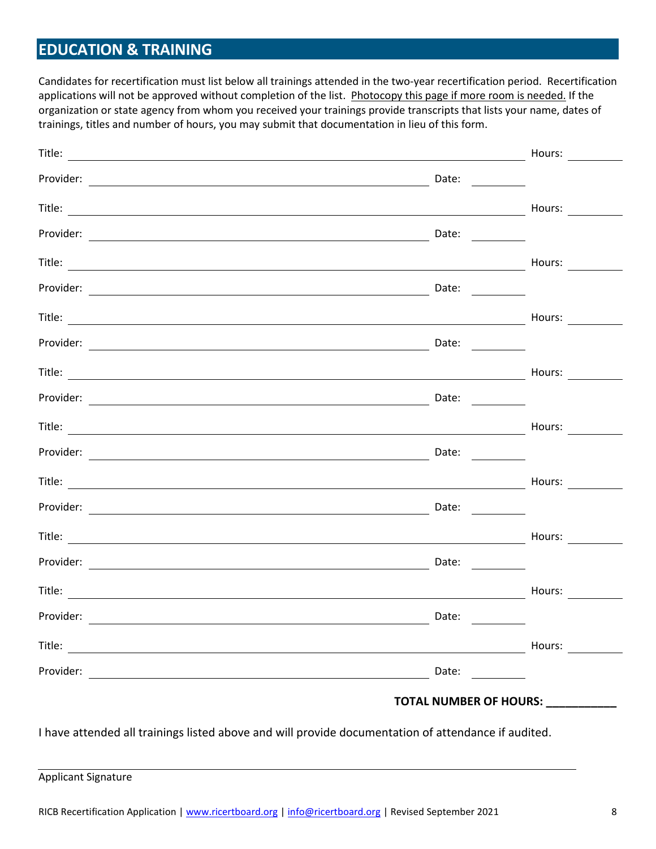## **EDUCATION & TRAINING**

Candidates for recertification must list below all trainings attended in the two-year recertification period. Recertification applications will not be approved without completion of the list. Photocopy this page if more room is needed. If the organization or state agency from whom you received your trainings provide transcripts that lists your name, dates of trainings, titles and number of hours, you may submit that documentation in lieu of this form.

|           |                                                                                                                                                                                                                                                                                                                                                                                                               | Hours: $\qquad \qquad \qquad \qquad$             |
|-----------|---------------------------------------------------------------------------------------------------------------------------------------------------------------------------------------------------------------------------------------------------------------------------------------------------------------------------------------------------------------------------------------------------------------|--------------------------------------------------|
|           | Date: $\qquad \qquad$                                                                                                                                                                                                                                                                                                                                                                                         |                                                  |
|           |                                                                                                                                                                                                                                                                                                                                                                                                               | Hours: $\qquad \qquad \overline{\qquad \qquad }$ |
|           | Date: $\frac{1}{\sqrt{1-\frac{1}{2}}\sqrt{1-\frac{1}{2}}\left(1-\frac{1}{2}\right)}$                                                                                                                                                                                                                                                                                                                          |                                                  |
|           |                                                                                                                                                                                                                                                                                                                                                                                                               | Hours:                                           |
|           | Date:                                                                                                                                                                                                                                                                                                                                                                                                         |                                                  |
|           |                                                                                                                                                                                                                                                                                                                                                                                                               | Hours:                                           |
|           | Date: $\frac{1}{\sqrt{1-\frac{1}{2}}\sqrt{1-\frac{1}{2}}\sqrt{1-\frac{1}{2}}\sqrt{1-\frac{1}{2}}}}$                                                                                                                                                                                                                                                                                                           |                                                  |
|           |                                                                                                                                                                                                                                                                                                                                                                                                               | Hours:                                           |
|           | Date: $\frac{1}{\sqrt{1-\frac{1}{2}}\sqrt{1-\frac{1}{2}}\sqrt{1-\frac{1}{2}}\sqrt{1-\frac{1}{2}}}}$                                                                                                                                                                                                                                                                                                           |                                                  |
|           |                                                                                                                                                                                                                                                                                                                                                                                                               | Hours: $\qquad \qquad \overline{\qquad \qquad }$ |
|           | Date: $\_\_$                                                                                                                                                                                                                                                                                                                                                                                                  |                                                  |
|           |                                                                                                                                                                                                                                                                                                                                                                                                               | Hours: $\qquad \qquad \qquad$                    |
|           |                                                                                                                                                                                                                                                                                                                                                                                                               |                                                  |
|           |                                                                                                                                                                                                                                                                                                                                                                                                               | Hours:                                           |
|           | Date: $\frac{1}{\sqrt{1-\frac{1}{2}}\sqrt{1-\frac{1}{2}}\sqrt{1-\frac{1}{2}}\sqrt{1-\frac{1}{2}}\sqrt{1-\frac{1}{2}}\sqrt{1-\frac{1}{2}}\sqrt{1-\frac{1}{2}}\sqrt{1-\frac{1}{2}}\sqrt{1-\frac{1}{2}}\sqrt{1-\frac{1}{2}}\sqrt{1-\frac{1}{2}}\sqrt{1-\frac{1}{2}}\sqrt{1-\frac{1}{2}}\sqrt{1-\frac{1}{2}}\sqrt{1-\frac{1}{2}}\sqrt{1-\frac{1}{2}}\sqrt{1-\frac{1}{2}}\sqrt{1-\frac{1}{2}}\sqrt{1-\frac{1}{2}}$ |                                                  |
|           |                                                                                                                                                                                                                                                                                                                                                                                                               | Hours: $\qquad \qquad$                           |
| Provider: | Date:                                                                                                                                                                                                                                                                                                                                                                                                         |                                                  |
|           |                                                                                                                                                                                                                                                                                                                                                                                                               | Hours:                                           |
|           | Date:<br><u>and the state</u>                                                                                                                                                                                                                                                                                                                                                                                 |                                                  |
|           |                                                                                                                                                                                                                                                                                                                                                                                                               | <b>TOTAL NUMBER OF HOURS:</b>                    |
|           |                                                                                                                                                                                                                                                                                                                                                                                                               |                                                  |

I have attended all trainings listed above and will provide documentation of attendance if audited.

Applicant Signature